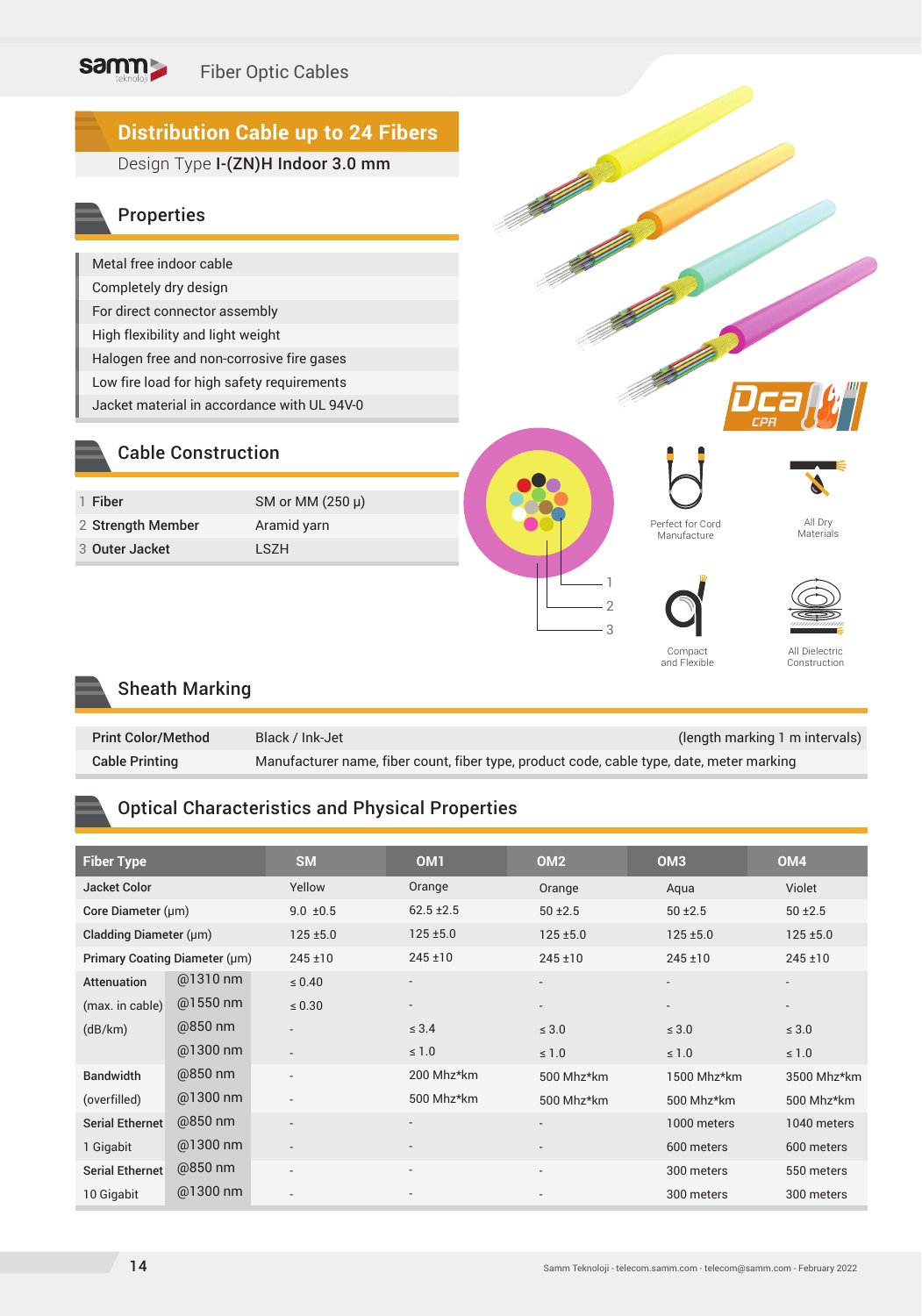

#### Sheath Marking

| <b>Print Color/Method</b> | Black / Ink-Jet                                                                           | (length marking 1 m intervals) |
|---------------------------|-------------------------------------------------------------------------------------------|--------------------------------|
| <b>Cable Printing</b>     | Manufacturer name, fiber count, fiber type, product code, cable type, date, meter marking |                                |

#### Optical Characteristics and Physical Properties

| <b>Fiber Type</b>             |            | <b>SM</b>                | OM <sub>1</sub>          | OM <sub>2</sub> | OM <sub>3</sub> | OM <sub>4</sub>          |
|-------------------------------|------------|--------------------------|--------------------------|-----------------|-----------------|--------------------------|
| <b>Jacket Color</b>           |            | Yellow                   | Orange                   | Orange          | Aqua            | Violet                   |
| Core Diameter (µm)            |            | $9.0 \pm 0.5$            | $62.5 \pm 2.5$           | $50 \pm 2.5$    | $50 \pm 2.5$    | $50 + 2.5$               |
| Cladding Diameter (µm)        |            | $125 \pm 5.0$            | $125 \pm 5.0$            | $125 + 5.0$     | $125 + 5.0$     | $125 + 5.0$              |
| Primary Coating Diameter (µm) |            | $245 \pm 10$             | $245 \pm 10$             | $245 \pm 10$    | 245±10          | $245 \pm 10$             |
| Attenuation                   | @1310 nm   | $\leq 0.40$              | $\overline{\phantom{a}}$ |                 |                 | $\overline{\phantom{a}}$ |
| (max. in cable)               | $@1550$ nm | $\leq 0.30$              | $\overline{\phantom{a}}$ |                 |                 | $\overline{\phantom{a}}$ |
| (dB/km)                       | @850 nm    | $\overline{\phantom{a}}$ | $\leq 3.4$               | $\leq 3.0$      | $\leq 3.0$      | $\leq 3.0$               |
|                               | @1300 nm   | $\overline{\phantom{a}}$ | $\leq 1.0$               | $\leq 1.0$      | $\leq 1.0$      | $\leq 1.0$               |
| <b>Bandwidth</b>              | @850 nm    | $\overline{\phantom{0}}$ | 200 Mhz*km               | 500 Mhz*km      | 1500 Mhz*km     | 3500 Mhz*km              |
| (overfilled)                  | @1300 nm   | $\overline{\phantom{0}}$ | 500 Mhz*km               | 500 Mhz*km      | 500 Mhz*km      | 500 Mhz*km               |
| Serial Ethernet               | @850 nm    | $\overline{\phantom{0}}$ | $\overline{\phantom{a}}$ |                 | 1000 meters     | 1040 meters              |
| 1 Gigabit                     | @1300 nm   | $\overline{\phantom{a}}$ |                          |                 | 600 meters      | 600 meters               |
| Serial Ethernet               | @850 nm    | $\overline{\phantom{0}}$ | $\overline{\phantom{a}}$ |                 | 300 meters      | 550 meters               |
| 10 Gigabit                    | @1300 nm   | $\overline{\phantom{0}}$ |                          |                 | 300 meters      | 300 meters               |